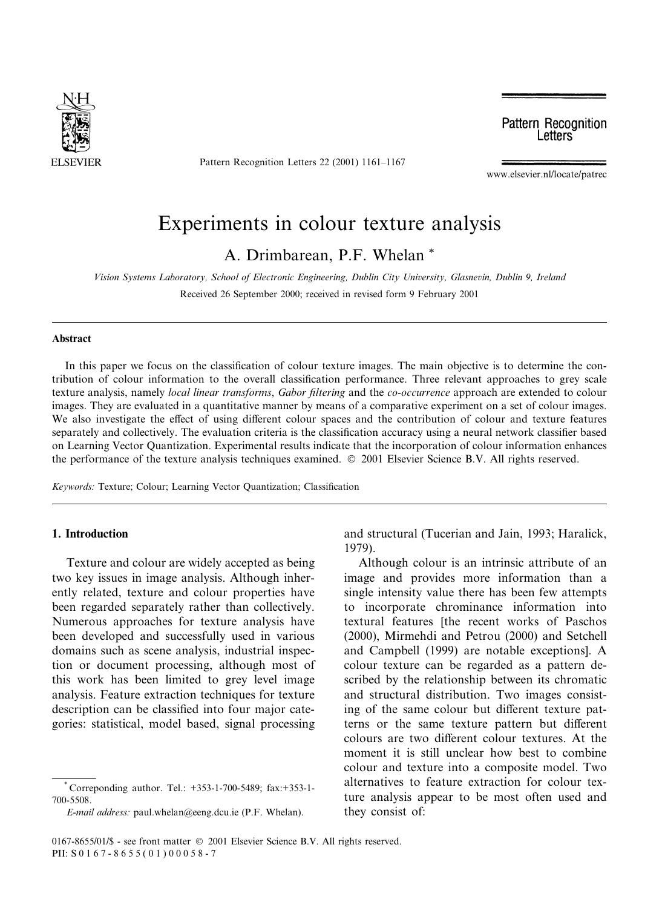

Pattern Recognition Letters 22 (2001) 1161-1167

Pattern Recognition Letters<sup>®</sup>

www.elsevier.nl/locate/patrec

# Experiments in colour texture analysis

A. Drimbarean, P.F. Whelan \*

Vision Systems Laboratory, School of Electronic Engineering, Dublin City University, Glasnevin, Dublin 9, Ireland

Received 26 September 2000; received in revised form 9 February 2001

#### **Abstract**

In this paper we focus on the classification of colour texture images. The main objective is to determine the contribution of colour information to the overall classification performance. Three relevant approaches to grey scale texture analysis, namely local linear transforms, Gabor filtering and the co-occurrence approach are extended to colour images. They are evaluated in a quantitative manner by means of a comparative experiment on a set of colour images. We also investigate the effect of using different colour spaces and the contribution of colour and texture features separately and collectively. The evaluation criteria is the classification accuracy using a neural network classifier based on Learning Vector Quantization. Experimental results indicate that the incorporation of colour information enhances the performance of the texture analysis techniques examined. © 2001 Elsevier Science B.V. All rights reserved.

Keywords: Texture; Colour; Learning Vector Quantization; Classification

## 1. Introduction

Texture and colour are widely accepted as being two key issues in image analysis. Although inherently related, texture and colour properties have been regarded separately rather than collectively. Numerous approaches for texture analysis have been developed and successfully used in various domains such as scene analysis, industrial inspection or document processing, although most of this work has been limited to grey level image analysis. Feature extraction techniques for texture description can be classified into four major categories: statistical, model based, signal processing

E-mail address: paul.whelan@eeng.dcu.ie (P.F. Whelan).

and structural (Tucerian and Jain, 1993; Haralick, 1979).

Although colour is an intrinsic attribute of an image and provides more information than a single intensity value there has been few attempts to incorporate chrominance information into textural features [the recent works of Paschos (2000), Mirmehdi and Petrou (2000) and Setchell and Campbell (1999) are notable exceptions]. A colour texture can be regarded as a pattern described by the relationship between its chromatic and structural distribution. Two images consisting of the same colour but different texture patterns or the same texture pattern but different colours are two different colour textures. At the moment it is still unclear how best to combine colour and texture into a composite model. Two alternatives to feature extraction for colour texture analysis appear to be most often used and they consist of:

Correponding author. Tel.: +353-1-700-5489; fax:+353-1-700-5508.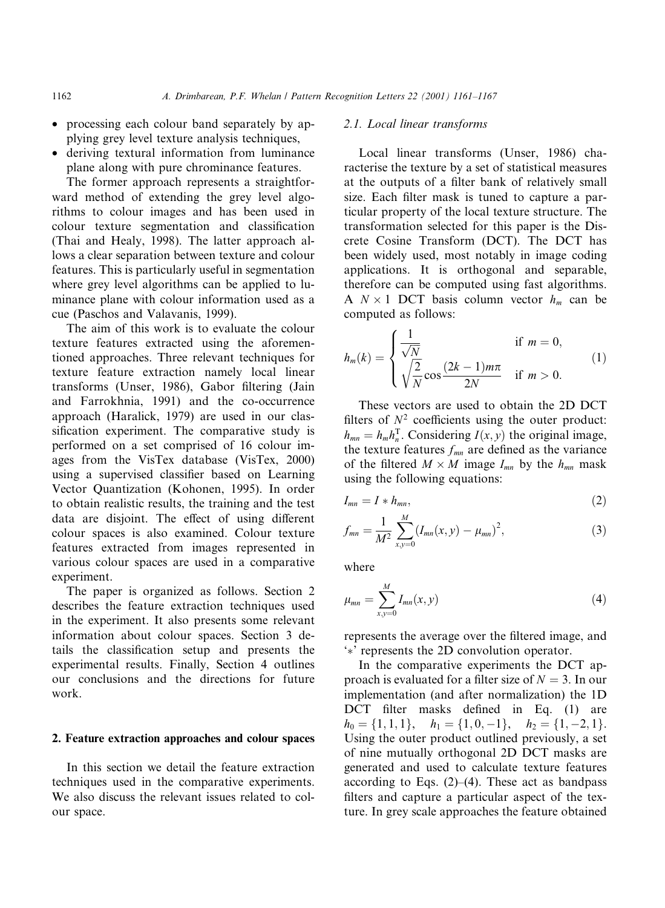- processing each colour band separately by applying grey level texture analysis techniques,
- deriving textural information from luminance plane along with pure chrominance features.

The former approach represents a straightforward method of extending the grey level algorithms to colour images and has been used in colour texture segmentation and classification (Thai and Healy, 1998). The latter approach allows a clear separation between texture and colour features. This is particularly useful in segmentation where grey level algorithms can be applied to luminance plane with colour information used as a cue (Paschos and Valavanis, 1999).

The aim of this work is to evaluate the colour texture features extracted using the aforementioned approaches. Three relevant techniques for texture feature extraction namely local linear transforms (Unser, 1986), Gabor filtering (Jain and Farrokhnia, 1991) and the co-occurrence approach (Haralick, 1979) are used in our classification experiment. The comparative study is performed on a set comprised of 16 colour images from the VisTex database (VisTex, 2000) using a supervised classifier based on Learning Vector Quantization (Kohonen, 1995). In order to obtain realistic results, the training and the test data are disjoint. The effect of using different colour spaces is also examined. Colour texture features extracted from images represented in various colour spaces are used in a comparative experiment.

The paper is organized as follows. Section 2 describes the feature extraction techniques used in the experiment. It also presents some relevant information about colour spaces. Section 3 details the classification setup and presents the experimental results. Finally, Section 4 outlines our conclusions and the directions for future work.

#### 2. Feature extraction approaches and colour spaces

In this section we detail the feature extraction techniques used in the comparative experiments. We also discuss the relevant issues related to colour space.

## 2.1. Local linear transforms

Local linear transforms (Unser, 1986) characterise the texture by a set of statistical measures at the outputs of a filter bank of relatively small size. Each filter mask is tuned to capture a particular property of the local texture structure. The transformation selected for this paper is the Discrete Cosine Transform (DCT). The DCT has been widely used, most notably in image coding applications. It is orthogonal and separable, therefore can be computed using fast algorithms. A  $N \times 1$  DCT basis column vector  $h_m$  can be computed as follows:

$$
h_m(k) = \begin{cases} \frac{1}{\sqrt{N}} & \text{if } m = 0, \\ \sqrt{\frac{2}{N}} \cos \frac{(2k-1)m\pi}{2N} & \text{if } m > 0. \end{cases}
$$
 (1)

These vectors are used to obtain the 2D DCT filters of  $N^2$  coefficients using the outer product:  $h_{mn} = h_m h_n^{\mathrm{T}}$ . Considering  $I(x, y)$  the original image, the texture features  $f_{mn}$  are defined as the variance of the filtered  $M \times M$  image  $I_{mn}$  by the  $h_{mn}$  mask using the following equations:

$$
I_{mn} = I * h_{mn}, \t\t(2)
$$

$$
f_{mn} = \frac{1}{M^2} \sum_{x,y=0}^{M} (I_{mn}(x,y) - \mu_{mn})^2,
$$
 (3)

where

$$
\mu_{mn} = \sum_{x,y=0}^{M} I_{mn}(x,y)
$$
\n(4)

represents the average over the filtered image, and \*\* represents the 2D convolution operator.

In the comparative experiments the DCT approach is evaluated for a filter size of  $N = 3$ . In our implementation (and after normalization) the 1D DCT filter masks defined in Eq. (1) are  $h_0 = \{1, 1, 1\}, \quad h_1 = \{1, 0, -1\}, \quad h_2 = \{1, -2, 1\}.$ Using the outer product outlined previously, a set of nine mutually orthogonal 2D DCT masks are generated and used to calculate texture features according to Eqs.  $(2)$ – $(4)$ . These act as bandpass filters and capture a particular aspect of the texture. In grey scale approaches the feature obtained

1162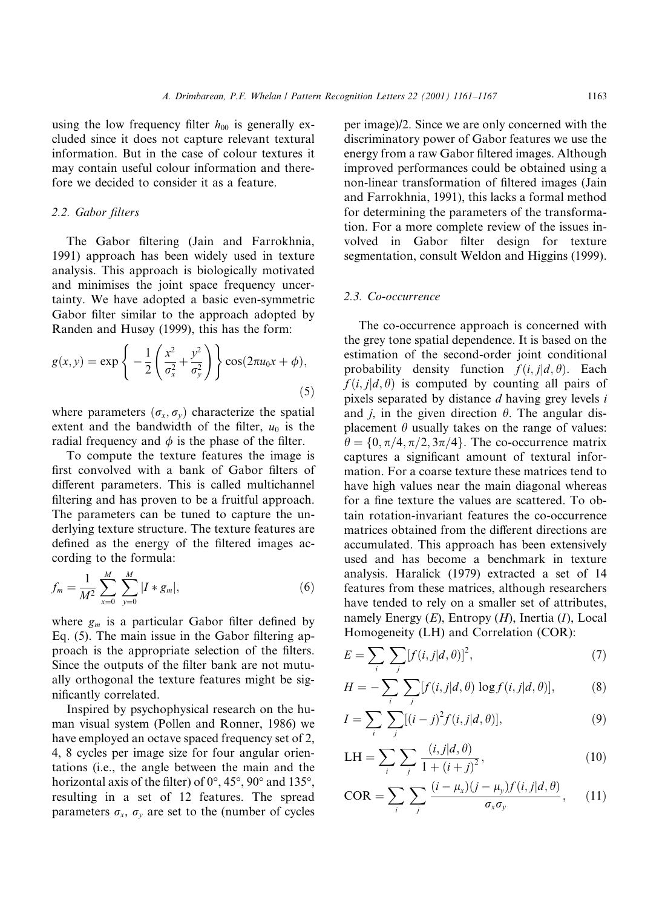using the low frequency filter  $h_{00}$  is generally excluded since it does not capture relevant textural information. But in the case of colour textures it may contain useful colour information and therefore we decided to consider it as a feature.

# 2.2. Gabor filters

The Gabor filtering (Jain and Farrokhnia, 1991) approach has been widely used in texture analysis. This approach is biologically motivated and minimises the joint space frequency uncertainty. We have adopted a basic even-symmetric Gabor filter similar to the approach adopted by Randen and Husøy (1999), this has the form:

$$
g(x,y) = \exp\left\{-\frac{1}{2}\left(\frac{x^2}{\sigma_x^2} + \frac{y^2}{\sigma_y^2}\right)\right\} \cos(2\pi u_0 x + \phi),\tag{5}
$$

where parameters  $(\sigma_x, \sigma_y)$  characterize the spatial extent and the bandwidth of the filter,  $u_0$  is the radial frequency and  $\phi$  is the phase of the filter.

To compute the texture features the image is first convolved with a bank of Gabor filters of different parameters. This is called multichannel filtering and has proven to be a fruitful approach. The parameters can be tuned to capture the underlying texture structure. The texture features are defined as the energy of the filtered images according to the formula:

$$
f_m = \frac{1}{M^2} \sum_{x=0}^{M} \sum_{y=0}^{M} |I * g_m|,
$$
 (6)

where  $g_m$  is a particular Gabor filter defined by Eq.  $(5)$ . The main issue in the Gabor filtering approach is the appropriate selection of the filters. Since the outputs of the filter bank are not mutually orthogonal the texture features might be significantly correlated.

Inspired by psychophysical research on the human visual system (Pollen and Ronner, 1986) we have employed an octave spaced frequency set of 2, 4, 8 cycles per image size for four angular orientations (i.e., the angle between the main and the horizontal axis of the filter) of  $0^\circ$ ,  $45^\circ$ ,  $90^\circ$  and  $135^\circ$ , resulting in a set of 12 features. The spread parameters  $\sigma_x$ ,  $\sigma_y$  are set to the (number of cycles

per image)/2. Since we are only concerned with the discriminatory power of Gabor features we use the energy from a raw Gabor filtered images. Although improved performances could be obtained using a non-linear transformation of filtered images (Jain and Farrokhnia, 1991), this lacks a formal method for determining the parameters of the transformation. For a more complete review of the issues involved in Gabor filter design for texture segmentation, consult Weldon and Higgins (1999).

## 2.3. Co-occurrence

The co-occurrence approach is concerned with the grey tone spatial dependence. It is based on the estimation of the second-order joint conditional probability density function  $f(i, j | d, \theta)$ . Each  $f(i, j | d, \theta)$  is computed by counting all pairs of pixels separated by distance d having grey levels i and *j*, in the given direction  $\theta$ . The angular displacement  $\theta$  usually takes on the range of values:  $\theta = \{0, \pi/4, \pi/2, 3\pi/4\}.$  The co-occurrence matrix captures a significant amount of textural information. For a coarse texture these matrices tend to have high values near the main diagonal whereas for a fine texture the values are scattered. To obtain rotation-invariant features the co-occurrence matrices obtained from the different directions are accumulated. This approach has been extensively used and has become a benchmark in texture analysis. Haralick (1979) extracted a set of 14 features from these matrices, although researchers have tended to rely on a smaller set of attributes, namely Energy  $(E)$ , Entropy  $(H)$ , Inertia  $(I)$ , Local Homogeneity (LH) and Correlation (COR):

$$
E = \sum_{i} \sum_{j} [f(i, j | d, \theta)]^{2}, \tag{7}
$$

$$
H = -\sum_{i} \sum_{j} [f(i,j|d,\theta) \log f(i,j|d,\theta)],
$$
 (8)

$$
I = \sum_{i} \sum_{j} [(i-j)^2 f(i, j | d, \theta)], \qquad (9)
$$

$$
LH = \sum_{i} \sum_{j} \frac{(i, j | d, \theta)}{1 + (i + j)^2},
$$
 (10)

$$
COR = \sum_{i} \sum_{j} \frac{(i - \mu_x)(j - \mu_y)f(i, j|d, \theta)}{\sigma_x \sigma_y}, \quad (11)
$$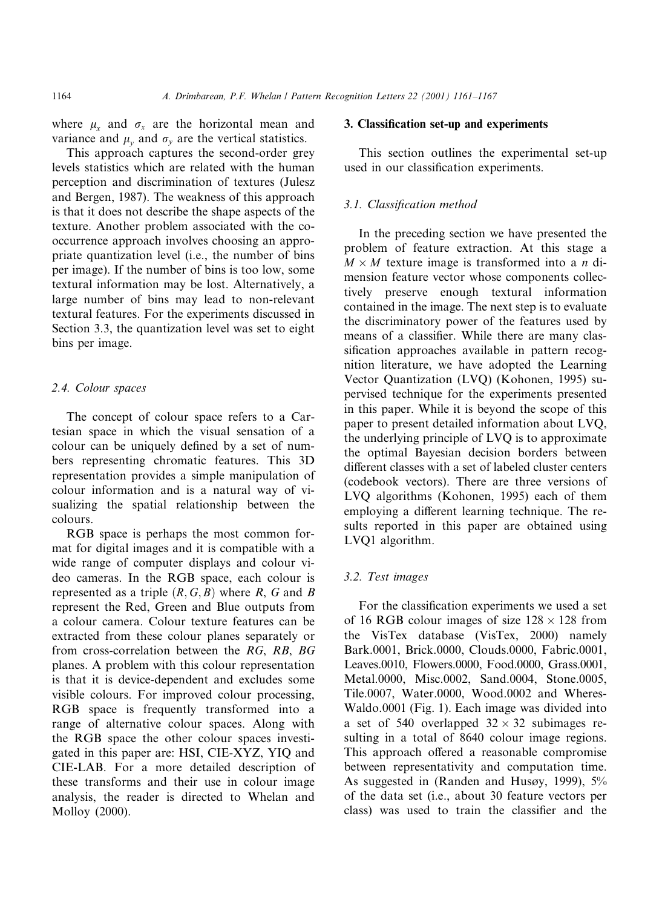where  $\mu_x$  and  $\sigma_x$  are the horizontal mean and variance and  $\mu$ , and  $\sigma$ , are the vertical statistics.

This approach captures the second-order grey levels statistics which are related with the human perception and discrimination of textures (Julesz and Bergen, 1987). The weakness of this approach is that it does not describe the shape aspects of the texture. Another problem associated with the cooccurrence approach involves choosing an appropriate quantization level (i.e., the number of bins per image). If the number of bins is too low, some textural information may be lost. Alternatively, a large number of bins may lead to non-relevant textural features. For the experiments discussed in Section 3.3, the quantization level was set to eight bins per image.

## 2.4. Colour spaces

The concept of colour space refers to a Cartesian space in which the visual sensation of a colour can be uniquely defined by a set of numbers representing chromatic features. This 3D representation provides a simple manipulation of colour information and is a natural way of visualizing the spatial relationship between the colours.

RGB space is perhaps the most common format for digital images and it is compatible with a wide range of computer displays and colour video cameras. In the RGB space, each colour is represented as a triple  $(R, G, B)$  where R, G and B represent the Red, Green and Blue outputs from a colour camera. Colour texture features can be extracted from these colour planes separately or from cross-correlation between the  $RG$ .  $RB$ .  $BG$ planes. A problem with this colour representation is that it is device-dependent and excludes some visible colours. For improved colour processing, RGB space is frequently transformed into a range of alternative colour spaces. Along with the RGB space the other colour spaces investigated in this paper are: HSI, CIE-XYZ, YIO and CIE-LAB. For a more detailed description of these transforms and their use in colour image analysis, the reader is directed to Whelan and Molloy (2000).

## 3. Classification set-up and experiments

This section outlines the experimental set-up used in our classification experiments.

# 3.1. Classification method

In the preceding section we have presented the problem of feature extraction. At this stage a  $M \times M$  texture image is transformed into a *n* dimension feature vector whose components collectively preserve enough textural information contained in the image. The next step is to evaluate the discriminatory power of the features used by means of a classifier. While there are many classification approaches available in pattern recognition literature, we have adopted the Learning Vector Quantization (LVQ) (Kohonen, 1995) supervised technique for the experiments presented in this paper. While it is beyond the scope of this paper to present detailed information about LVQ, the underlying principle of LVO is to approximate the optimal Bayesian decision borders between different classes with a set of labeled cluster centers (codebook vectors). There are three versions of LVO algorithms (Kohonen, 1995) each of them employing a different learning technique. The results reported in this paper are obtained using LVQ1 algorithm.

#### 3.2. Test images

For the classification experiments we used a set of 16 RGB colour images of size  $128 \times 128$  from the VisTex database (VisTex, 2000) namely Bark.0001, Brick.0000, Clouds.0000, Fabric.0001, Leaves.0010, Flowers.0000, Food.0000, Grass.0001, Metal.0000, Misc.0002, Sand.0004, Stone.0005, Tile.0007, Water.0000, Wood.0002 and Wheres-Waldo.0001 (Fig. 1). Each image was divided into a set of 540 overlapped  $32 \times 32$  subimages resulting in a total of 8640 colour image regions. This approach offered a reasonable compromise between representativity and computation time. As suggested in (Randen and Husøy, 1999), 5% of the data set (i.e., about 30 feature vectors per class) was used to train the classifier and the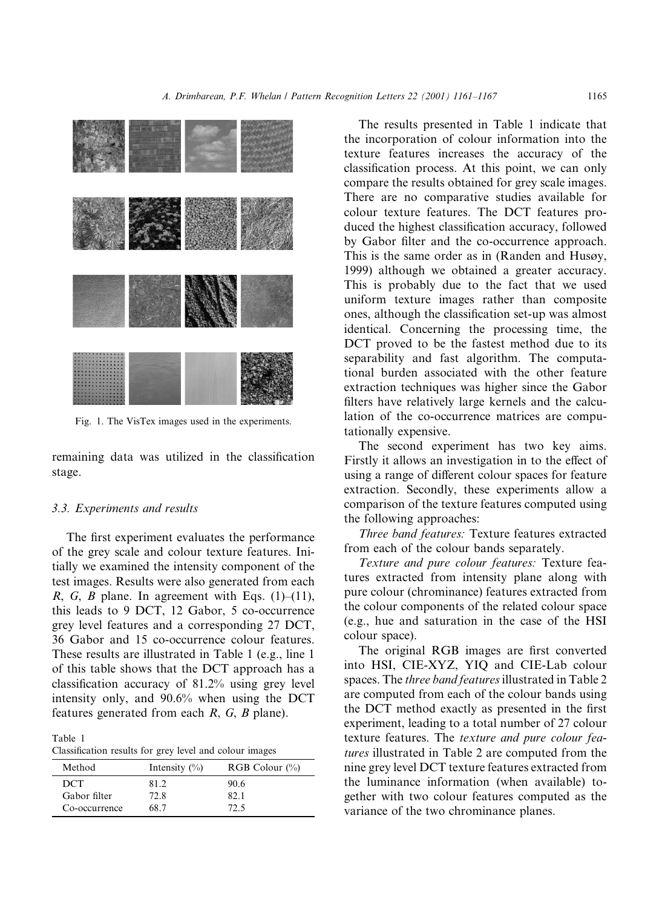

Fig. 1. The VisTex images used in the experiments.

remaining data was utilized in the classification stage.

#### 3.3. Experiments and results

The first experiment evaluates the performance of the grey scale and colour texture features. Initially we examined the intensity component of the test images. Results were also generated from each R, G, B plane. In agreement with Eqs.  $(1)$ – $(11)$ , this leads to 9 DCT, 12 Gabor, 5 co-occurrence grey level features and a corresponding 27 DCT, 36 Gabor and 15 co-occurrence colour features. These results are illustrated in Table 1 (e.g., line 1) of this table shows that the DCT approach has a classification accuracy of 81.2% using grey level intensity only, and 90.6% when using the DCT features generated from each  $R$ ,  $G$ ,  $B$  plane).

Table 1

Classification results for grey level and colour images

| Method        | Intensity $(\% )$ | $RGB$ Colour $(\%)$ |
|---------------|-------------------|---------------------|
| DCT.          | 812               | 90.6                |
| Gabor filter  | 72.8              | 82.1                |
| Co-occurrence | 68.7              | 72.5                |

The results presented in Table 1 indicate that the incorporation of colour information into the texture features increases the accuracy of the classification process. At this point, we can only compare the results obtained for grey scale images. There are no comparative studies available for colour texture features. The DCT features produced the highest classification accuracy, followed by Gabor filter and the co-occurrence approach. This is the same order as in (Randen and Husøy, 1999) although we obtained a greater accuracy. This is probably due to the fact that we used uniform texture images rather than composite ones, although the classification set-up was almost identical. Concerning the processing time, the DCT proved to be the fastest method due to its separability and fast algorithm. The computational burden associated with the other feature extraction techniques was higher since the Gabor filters have relatively large kernels and the calculation of the co-occurrence matrices are computationally expensive.

The second experiment has two key aims. Firstly it allows an investigation in to the effect of using a range of different colour spaces for feature extraction. Secondly, these experiments allow a comparison of the texture features computed using the following approaches:

Three band features: Texture features extracted from each of the colour bands separately.

Texture and pure colour features: Texture features extracted from intensity plane along with pure colour (chrominance) features extracted from the colour components of the related colour space (e.g., hue and saturation in the case of the HSI colour space).

The original RGB images are first converted into HSI, CIE-XYZ, YIQ and CIE-Lab colour spaces. The three band features illustrated in Table 2 are computed from each of the colour bands using the DCT method exactly as presented in the first experiment, leading to a total number of 27 colour texture features. The texture and pure colour features illustrated in Table 2 are computed from the nine grey level DCT texture features extracted from the luminance information (when available) together with two colour features computed as the variance of the two chrominance planes.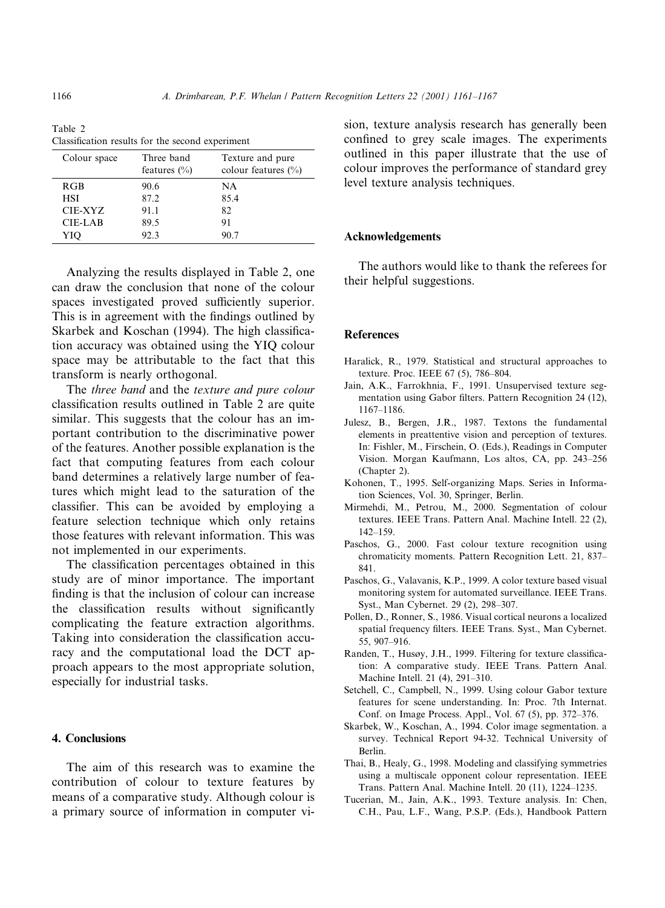$Table 2$ Classification results for the second experiment

| Colour space   | Three band<br>features $(\% )$ | Texture and pure<br>colour features $(\% )$ |
|----------------|--------------------------------|---------------------------------------------|
| <b>RGB</b>     | 90.6                           | NA                                          |
| <b>HSI</b>     | 87.2                           | 85.4                                        |
| CIE-XYZ        | 91.1                           | 82                                          |
| <b>CIE-LAB</b> | 89.5                           | 91                                          |
| YIO            | 92.3                           | 90.7                                        |

Analyzing the results displayed in Table 2, one can draw the conclusion that none of the colour spaces investigated proved sufficiently superior. This is in agreement with the findings outlined by Skarbek and Koschan (1994). The high classification accuracy was obtained using the YIQ colour space may be attributable to the fact that this transform is nearly orthogonal.

The three band and the texture and pure colour classification results outlined in Table 2 are quite similar. This suggests that the colour has an important contribution to the discriminative power of the features. Another possible explanation is the fact that computing features from each colour band determines a relatively large number of features which might lead to the saturation of the classifier. This can be avoided by employing a feature selection technique which only retains those features with relevant information. This was not implemented in our experiments.

The classification percentages obtained in this study are of minor importance. The important finding is that the inclusion of colour can increase the classification results without significantly complicating the feature extraction algorithms. Taking into consideration the classification accuracy and the computational load the DCT approach appears to the most appropriate solution, especially for industrial tasks.

#### 4. Conclusions

The aim of this research was to examine the contribution of colour to texture features by means of a comparative study. Although colour is a primary source of information in computer vision, texture analysis research has generally been confined to grey scale images. The experiments outlined in this paper illustrate that the use of colour improves the performance of standard grey level texture analysis techniques.

# Acknowledgements

The authors would like to thank the referees for their helpful suggestions.

### **References**

- Haralick, R., 1979. Statistical and structural approaches to texture. Proc. IEEE 67 (5), 786-804.
- Jain, A.K., Farrokhnia, F., 1991. Unsupervised texture segmentation using Gabor filters. Pattern Recognition 24 (12), 1167-1186
- Julesz, B., Bergen, J.R., 1987. Textons the fundamental elements in preattentive vision and perception of textures. In: Fishler, M., Firschein, O. (Eds.), Readings in Computer Vision. Morgan Kaufmann, Los altos, CA, pp. 243-256 (Chapter 2).
- Kohonen, T., 1995. Self-organizing Maps. Series in Information Sciences, Vol. 30, Springer, Berlin.
- Mirmehdi, M., Petrou, M., 2000. Segmentation of colour textures. IEEE Trans. Pattern Anal. Machine Intell. 22 (2),  $142 - 159$
- Paschos, G., 2000. Fast colour texture recognition using chromaticity moments. Pattern Recognition Lett. 21, 837-841
- Paschos, G., Valavanis, K.P., 1999. A color texture based visual monitoring system for automated surveillance. IEEE Trans. Syst., Man Cybernet. 29 (2), 298-307.
- Pollen, D., Ronner, S., 1986. Visual cortical neurons a localized spatial frequency filters. IEEE Trans. Syst., Man Cybernet. 55, 907-916.
- Randen, T., Husøy, J.H., 1999. Filtering for texture classification: A comparative study. IEEE Trans. Pattern Anal. Machine Intell. 21 (4), 291-310.
- Setchell, C., Campbell, N., 1999. Using colour Gabor texture features for scene understanding. In: Proc. 7th Internat. Conf. on Image Process. Appl., Vol. 67 (5), pp. 372–376.
- Skarbek, W., Koschan, A., 1994. Color image segmentation. a survey. Technical Report 94-32. Technical University of **Rerlin**
- Thai, B., Healy, G., 1998. Modeling and classifying symmetries using a multiscale opponent colour representation. IEEE Trans. Pattern Anal. Machine Intell. 20 (11), 1224-1235.
- Tucerian, M., Jain, A.K., 1993. Texture analysis. In: Chen. C.H., Pau, L.F., Wang, P.S.P. (Eds.), Handbook Pattern